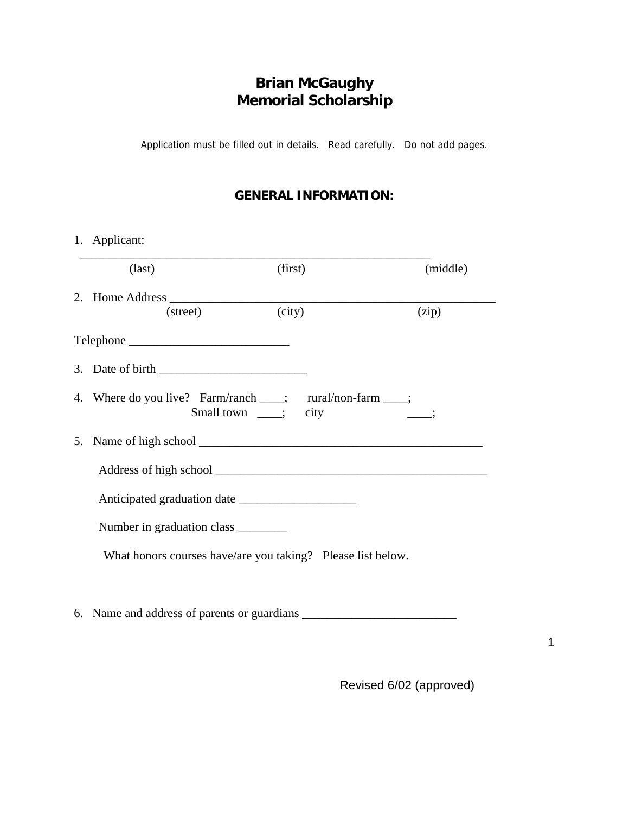# **Brian McGaughy Memorial Scholarship**

Application must be filled out in details. Read carefully. Do not add pages.

#### **GENERAL INFORMATION:**

|  | 1. Applicant:                                                                           |         |          |  |  |
|--|-----------------------------------------------------------------------------------------|---------|----------|--|--|
|  | $\text{(last)}$                                                                         | (first) | (middle) |  |  |
|  |                                                                                         |         |          |  |  |
|  | (street)                                                                                | (city)  | (zip)    |  |  |
|  |                                                                                         |         |          |  |  |
|  | 3. Date of birth $\frac{1}{\sqrt{1-\frac{1}{2}}}\left\lfloor \frac{1}{2} \right\rfloor$ |         |          |  |  |
|  | 4. Where do you live? Farm/ranch ____; rural/non-farm ____;<br>Small town ____; city    |         |          |  |  |
|  |                                                                                         |         |          |  |  |
|  |                                                                                         |         |          |  |  |
|  |                                                                                         |         |          |  |  |
|  | Number in graduation class _________                                                    |         |          |  |  |
|  | What honors courses have/are you taking? Please list below.                             |         |          |  |  |
|  |                                                                                         |         |          |  |  |
|  |                                                                                         |         |          |  |  |

Revised 6/02 (approved)

1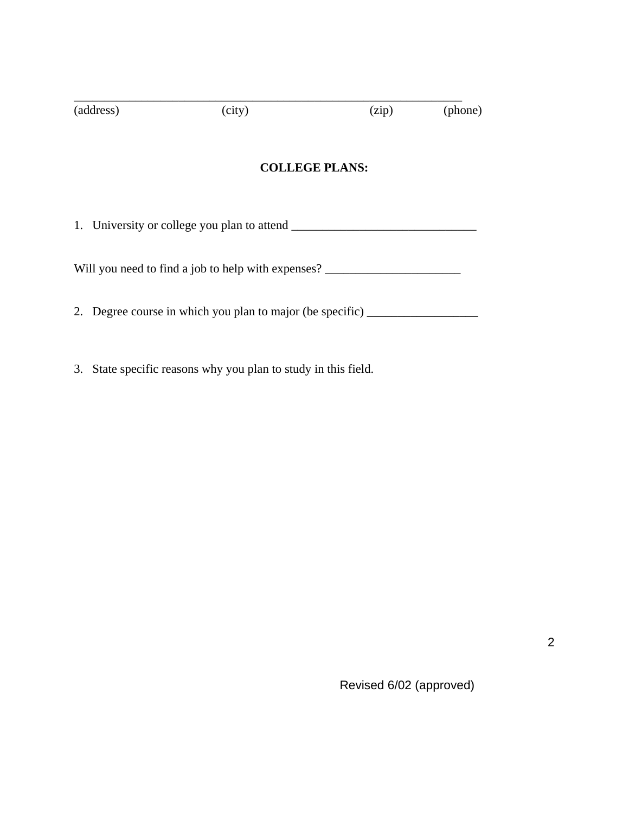| (address)                                          | (city)                                                 | (zip) | (phone) |  |  |
|----------------------------------------------------|--------------------------------------------------------|-------|---------|--|--|
| <b>COLLEGE PLANS:</b>                              |                                                        |       |         |  |  |
| 1. University or college you plan to attend _____  |                                                        |       |         |  |  |
| Will you need to find a job to help with expenses? |                                                        |       |         |  |  |
| 2.                                                 | Degree course in which you plan to major (be specific) |       |         |  |  |

3. State specific reasons why you plan to study in this field.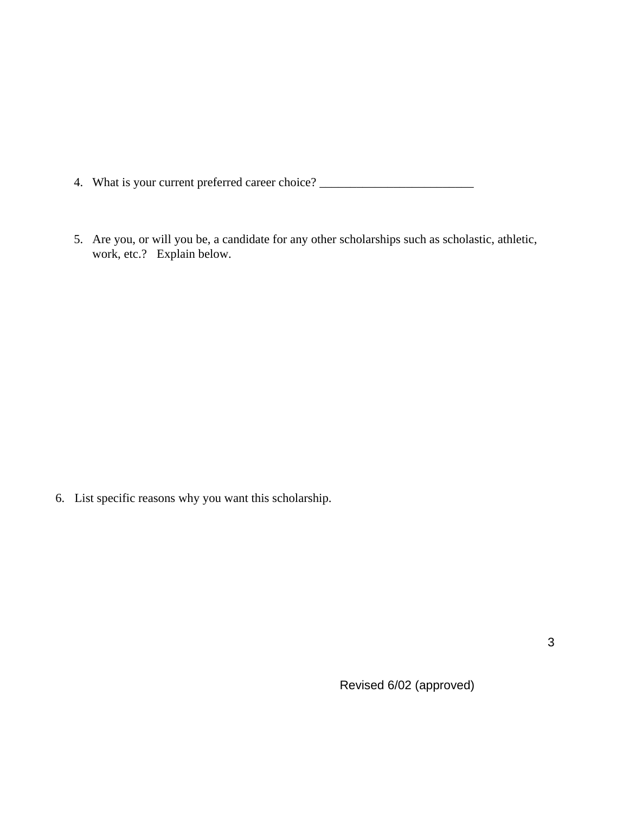4. What is your current preferred career choice? \_\_\_\_\_\_\_\_\_\_\_\_\_\_\_\_\_\_\_\_\_\_\_\_\_\_\_\_\_\_\_

5. Are you, or will you be, a candidate for any other scholarships such as scholastic, athletic, work, etc.? Explain below.

6. List specific reasons why you want this scholarship.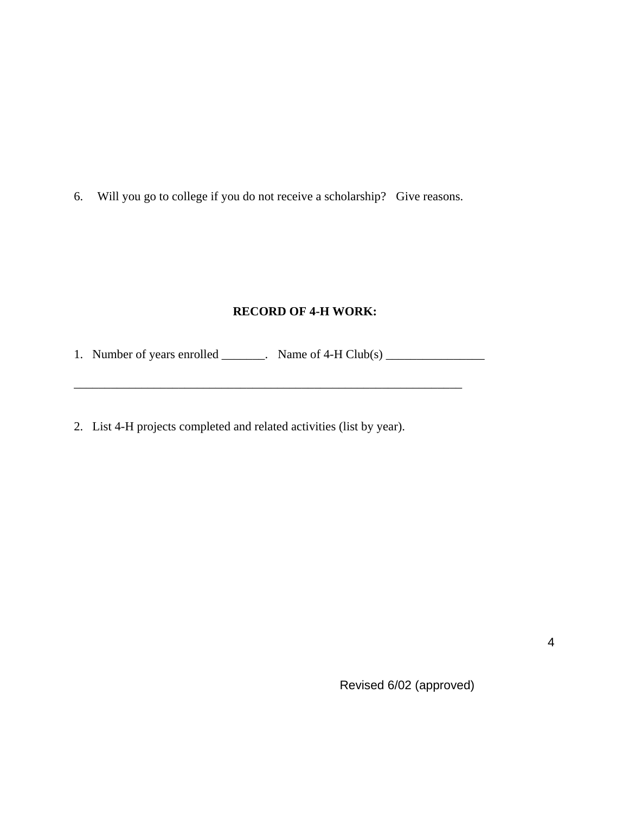6. Will you go to college if you do not receive a scholarship? Give reasons.

#### **RECORD OF 4-H WORK:**

 $\mathcal{L}_\text{max} = \mathcal{L}_\text{max} = \frac{1}{2} \sum_{i=1}^n \frac{1}{2} \sum_{i=1}^n \frac{1}{2} \sum_{i=1}^n \frac{1}{2} \sum_{i=1}^n \frac{1}{2} \sum_{i=1}^n \frac{1}{2} \sum_{i=1}^n \frac{1}{2} \sum_{i=1}^n \frac{1}{2} \sum_{i=1}^n \frac{1}{2} \sum_{i=1}^n \frac{1}{2} \sum_{i=1}^n \frac{1}{2} \sum_{i=1}^n \frac{1}{2} \sum_{i=1}^n \frac{1$ 

1. Number of years enrolled \_\_\_\_\_\_\_. Name of 4-H Club(s) \_\_\_\_\_\_\_\_\_\_\_\_\_\_\_\_

2. List 4-H projects completed and related activities (list by year).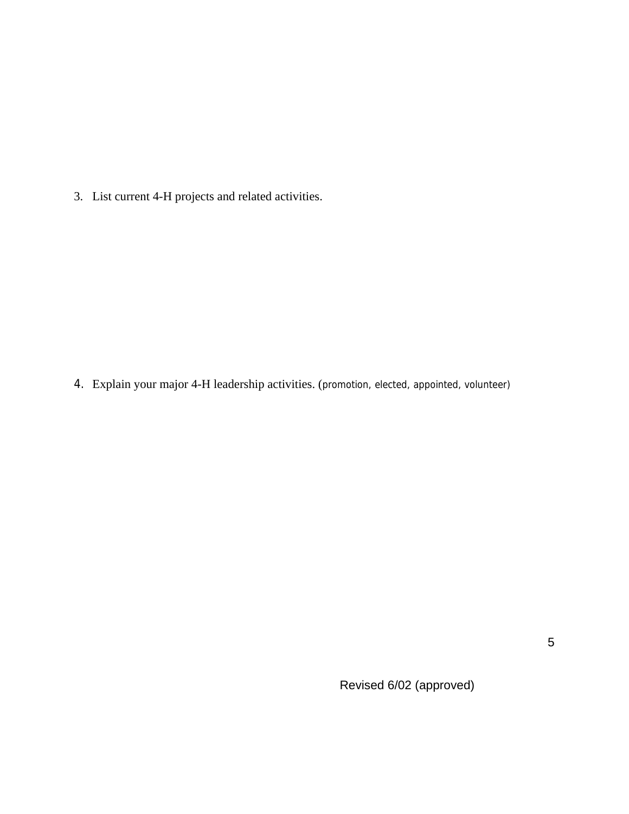3. List current 4-H projects and related activities.

4. Explain your major 4-H leadership activities. (promotion, elected, appointed, volunteer)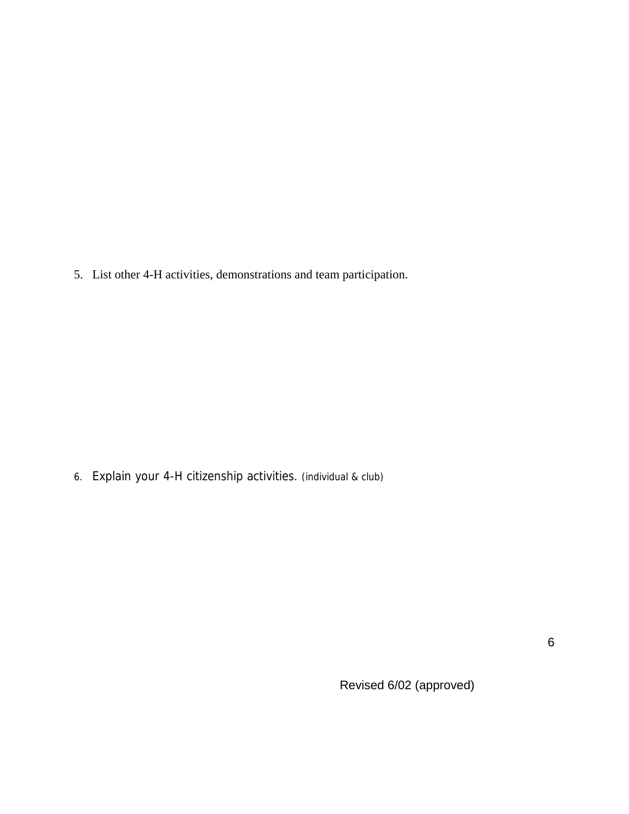5. List other 4-H activities, demonstrations and team participation.

6. Explain your 4-H citizenship activities. (individual & club)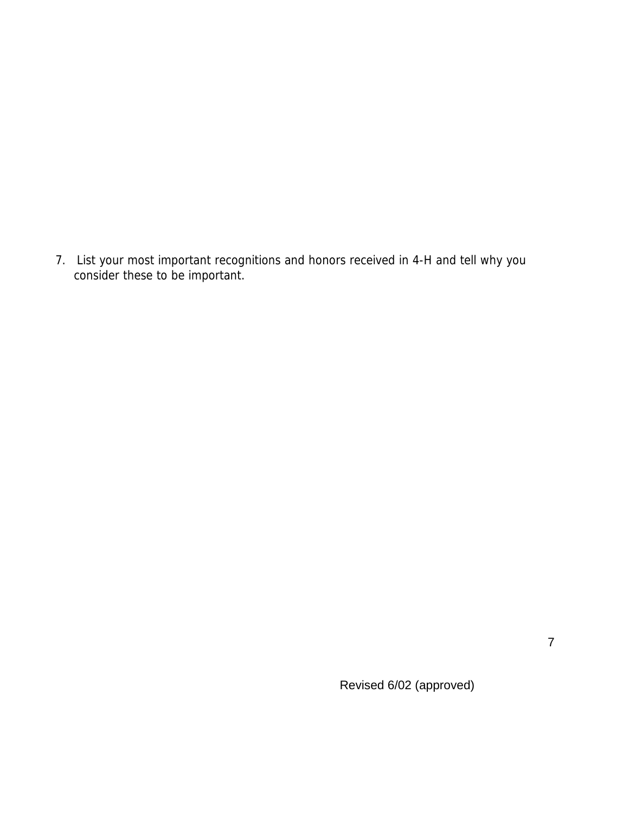7. List your most important recognitions and honors received in 4-H and tell why you consider these to be important.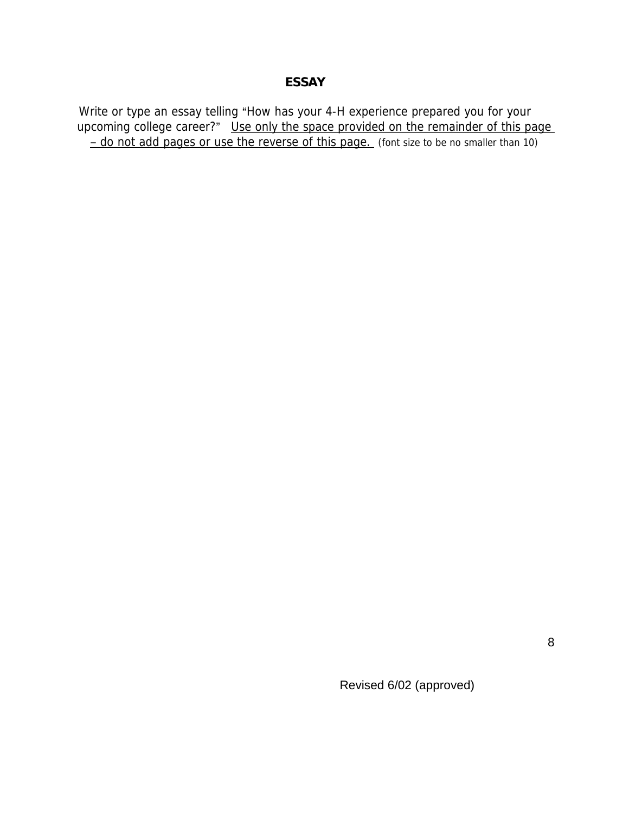## **ESSAY**

Write or type an essay telling "How has your 4-H experience prepared you for your upcoming college career?" Use only the space provided on the remainder of this page - do not add pages or use the reverse of this page. (font size to be no smaller than 10)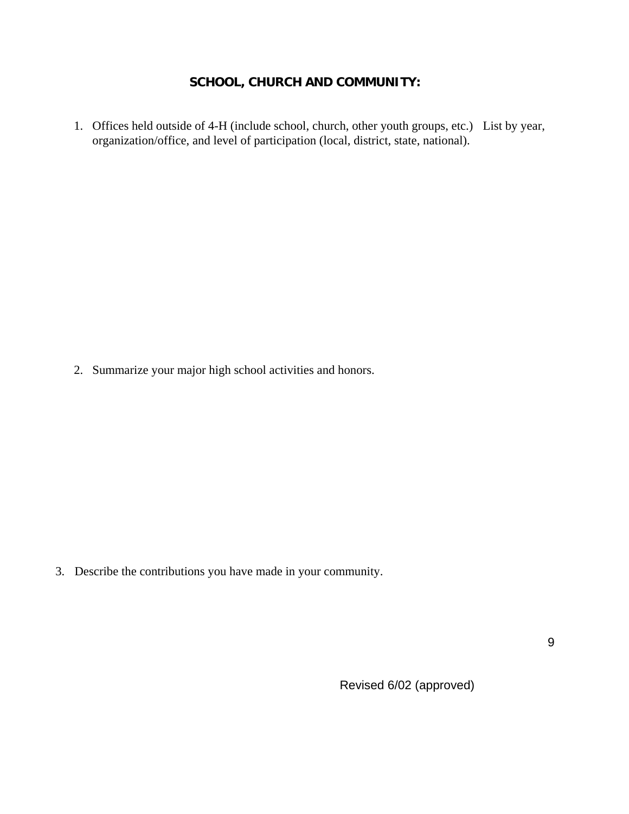#### **SCHOOL, CHURCH AND COMMUNITY:**

1. Offices held outside of 4-H (include school, church, other youth groups, etc.) List by year, organization/office, and level of participation (local, district, state, national).

2. Summarize your major high school activities and honors.

3. Describe the contributions you have made in your community.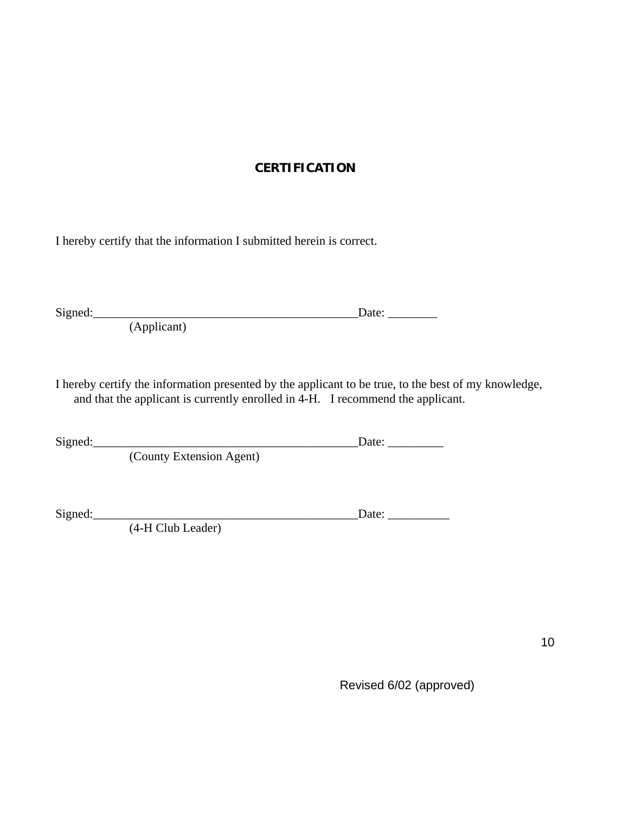## **CERTIFICATION**

I hereby certify that the information I submitted herein is correct.

Signed:\_\_\_\_\_\_\_\_\_\_\_\_\_\_\_\_\_\_\_\_\_\_\_\_\_\_\_\_\_\_\_\_\_\_\_\_\_\_\_\_\_\_\_Date: \_\_\_\_\_\_\_\_

(Applicant)

I hereby certify the information presented by the applicant to be true, to the best of my knowledge, and that the applicant is currently enrolled in 4-H. I recommend the applicant.

Signed:\_\_\_\_\_\_\_\_\_\_\_\_\_\_\_\_\_\_\_\_\_\_\_\_\_\_\_\_\_\_\_\_\_\_\_\_\_\_\_\_\_\_\_Date: \_\_\_\_\_\_\_\_\_

(County Extension Agent)

Signed:\_\_\_\_\_\_\_\_\_\_\_\_\_\_\_\_\_\_\_\_\_\_\_\_\_\_\_\_\_\_\_\_\_\_\_\_\_\_\_\_\_\_\_Date: \_\_\_\_\_\_\_\_\_\_

(4-H Club Leader)

10